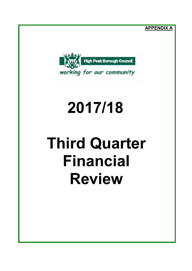ligh Peak Borough Council working for our community **APPENDIX A**

# **2017/18**

# **Third Quarter Financial Review**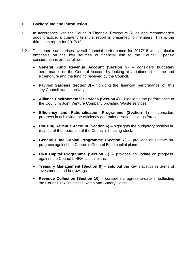## **1 Background and Introduction**

- 1.1 In accordance with the Council's Financial Procedure Rules and recommended good practice, a quarterly financial report is presented to members. This is the third such report for 2017/18.
- 1.2 The report summarises overall financial performance for 2017/18 with particular emphasis on the key sources of financial risk to the Council. Specific considerations are as follows:
	- **General Fund Revenue Account (Section 2)** considers budgetary performance on the General Account by looking at variations in income and expenditure and the funding received by the Council.
	- **Pavilion Gardens (Section 3)** highlights the financial performance of this key Council trading activity.
	- Alliance Environmental Services (Section 4) highlights the performance of the Council's Joint Venture Company providing Waste services.
	- **Efficiency and Rationalisation Programme (Section 5)**  considers progress in achieving the efficiency and rationalisation savings forecast.
	- **Housing Revenue Account (Section 6) –** highlights the budgetary position in respect of the operation of the Council's housing stock.
	- **General Fund Capital Programme (Section 7)**  provides an update on progress against the Council's General Fund capital plans.
	- **HRA Capital Programme (Section 8)** provides an update on progress against the Council's HRA capital plans.
	- **Treasury Management (Section 9)** sets out the key statistics in terms of investments and borrowings.
	- **Revenue Collection (Section 10)**  considers progress-to-date in collecting the Council Tax, Business Rates and Sundry Debts.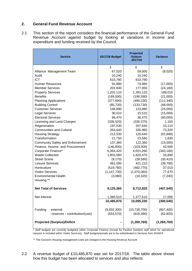#### **2. General Fund Revenue Account**

2.1 This section of the report considers the financial performance of the General Fund Revenue Account against budget by looking at variations in income and expenditure and funding received by the Council.

| <b>Service</b>                          | 2017/18 Budget | <b>Projected</b><br><b>Outturn</b><br>2017/18 | <b>Variance</b> |
|-----------------------------------------|----------------|-----------------------------------------------|-----------------|
|                                         | £              | £                                             | £               |
| Alliance Management Team                | 67,020         | 59,000                                        | (8,020)         |
| Audit                                   | 10,240         | 10,240                                        |                 |
| <b>ICT</b>                              | 610,790        | 610,790                                       |                 |
| <b>Human Resources</b>                  | 91,980         | 74,980                                        | (17,000)        |
| <b>Member Services</b>                  | 201,830        | 177,650                                       | (24, 180)       |
| <b>Property Services</b>                | 1,202,110      | 1,391,120                                     | 189,010         |
| <b>Benefits</b>                         | (169, 590)     | (190, 590)                                    | (21,000)        |
| <b>Planning Applications</b>            | (377, 890)     | (490, 230)                                    | (112, 340)      |
| <b>Building Control</b>                 | (85, 730)      | (133, 730)                                    | (48,000)        |
| <b>Customer Services</b>                | 148,890        | 123,890                                       | (25,000)        |
| <b>Legal Services</b>                   | 30,510         | 15,510                                        | (15,000)        |
| <b>Electoral Services</b>               | 96,470         | 36,470                                        | (60,000)        |
| Licensing and Land Charges              | (336, 520)     | (335, 370)                                    | 1,150           |
| Regeneration                            | 197,530        | 207,640                                       | 10,110          |
| <b>Communities and Cultural</b>         | 263,640        | 336,960                                       | 73,320          |
| <b>Housing Strategy</b>                 | 212,530        | 120,640                                       | (91, 890)       |
| Transformation                          | 21,750         | 23,580                                        | 1,830           |
| <b>Community Safety and Enforcement</b> | 137,360        | 122,360                                       | (15,000)        |
| Finance, Income and Procurement         | (146, 800)     | (103, 300)                                    | 43,500          |
| Corporate Finance*                      | 6,364,420      | 6,021,260                                     | (343, 160)      |
| <b>Waste Collection</b>                 | 1,803,580      | 1,820,470                                     | 16,890          |
| <b>Street Scene</b>                     | (9, 170)       | (39, 580)                                     | (30, 410)       |
| Leisure Services                        | 461,000        | 421,210                                       | (39, 790)       |
| Horticulture                            | (519, 780)     | (482, 770)                                    | 37,010          |
| <b>Visitor Services</b>                 | (1, 147, 730)  | (1,070,060)                                   | 77,670          |
| <b>Environmental Health</b>             | (3,080)        | (10, 320)                                     | (7, 240)        |
| Housing **                              |                |                                               |                 |
| <b>Net Total of Services</b>            | 9,125,360      | 8,712,820                                     | (407, 540)      |
| Net Interest                            | 1,360,510      | 1,377,510                                     | 17,000          |
|                                         | 10,485,870     | 10,095,330                                    | (390, 540)      |
| Funding<br>: external                   | (9,932,300)    | (10, 739, 700)                                | (807, 400)      |
| : reserves - contribution/(use)         | (553, 570)     | (616, 390)                                    | (62, 820)       |
|                                         |                |                                               |                 |
| <b>Projected (Surplus)/Deficit</b>      |                | (1, 260, 760)                                 | (1, 260, 760)   |

\* Staff budgets are currently budgeted within Corporate Finance (except for Pavilion Gardens staff which for operational reasons is included within Visitor Services). Staff budgets/actuals are to be redistributed to Services from 2018/19

\*\* The Council's Housing management costs are charged to the Housing Revenue Account

2.2 A revenue budget of £10,485,870 was set for 2017/18. The table above shows how this budget has been allocated to services and also reflects: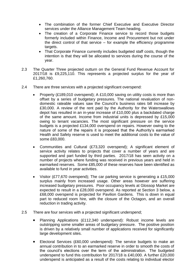- The combination of the former Chief Executive and Executive Director services under the Alliance Management Team heading.
- The creation of a Corporate Finance service to record those budgets formerly included within Finance, Income and Procurement but not under the direct control of that service – for example the efficiency programme targets.
- That Corporate Finance currently includes budgeted staff costs, though the intention is that they will be allocated to services during the course of the year.
- 2.3 The Quarter Three projected outturn on the General Fund Revenue Account for 2017/18 is £9,225,110. This represents a projected surplus for the year of £1,260,760.
- 2.4 There are three services with a projected significant overspend:
	- Property (£189,010 overspend); A £10,000 saving on utility costs is more than offset by a series of budgetary pressures. The national revaluation of nondomestic rateable values saw the Council's business rates bill increase by £30,000. A review of the rent paid by the Authority for the Waterswallows depot has resulted in an in-year increase of £10,000 plus a backdated charge of the same amount. Income from industrial units is depressed by £15,000 owing to tenant vacancies. The most significant pressure on the service budgets is a projected £134,000 overspend on repairs. However owing to the nature of some of the repairs it is proposed that the Authority's earmarked Health and Safety reserve is used to meet the additional costs to the value of some £83,000.
	- Communities and Cultural (£73,320 overspend); A significant element of service activity relates to projects that cover a number of years and are supported and part funded by third parties. 2017/18 has seen activity on a number of projects where funding was received in previous years and held in earmarked reserves. Some £85,000 of these reserves have been identified as available to fund in year activities.
	- Visitor (£77,670 overspend); The car parking service is generating a £15,000 surplus mainly from increased usage. Other areas however are suffering increased budgetary pressures. Poor occupancy levels at Glossop Market are expected to result in a £28,000 overspend. As reported at Section 3 below, a £68,000 overspend is projected for Pavilion Gardens. This is down in equal part to reduced room hire, with the closure of the Octagon, and an overall reduction in trading activity.
- 2.5 There are four services with a projected significant underspend;
	- Planning Applications (£112,340 underspend): Robust income levels are outstripping some smaller areas of budgetary pressure. The positive position is driven by a relatively small number of applications received for significantly large development sites.
	- Electoral Services (£60,000 underspend): The service budgets to make an annual contribution in to an earmarked reserve in order to smooth the costs of the council's elections over the term of the administration. The budgeted underspend to fund this contribution for 2017/18 is £40,000. A further £20,000 underspend is anticipated as a result of the costs relating to individual elector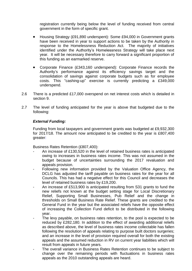registration currently being below the level of funding received from central government in the form of specific grant.

- Housing Strategy (£91,890 underspent): Some £94,000 in Government grants have been received in year to support actions to be taken by the Authority in response to the Homelessness Reduction Act. The majority of initiatives identified under the Authority's Homelessness Strategy will take place next year. It will be necessary therefore to carry forward a significant proportion of this funding as an earmarked reserve.
- Corporate Finance (£343,160 underspend): Corporate Finance records the Authority's performance against its efficiency savings target and the consolidation of savings against corporate budgets such as for employee costs. This "cashing-up" exercise is currently predicting a £349,000 underspend.
- 2.6 There is a predicted £17,000 overspend on net interest costs which is detailed in section 9.
- 2.7 The level of funding anticipated for the year is above that budgeted due to the following:

## *External Funding:*

Funding from local taxpayers and government grants was budgeted at £9,932,300 for 2017/18. The amount now anticipated to be credited to the year is £807,400 greater:

Business Rates Retention (£807,400):

- An increase of £130,520 in the level of retained business rates is anticipated owing to increases in business rates income. This was not assumed in the budget because of uncertainties surrounding the 2017 revaluation and appeals provision.
- Following new information provided by the Valuation Office Agency, the DCLG has adjusted the tariff payable on business rates for the year for all Councils. This has had a negative effect for this Council and decreases the level of retained business rates by £19,200.
- An increase of £513,900 is anticipated resulting from S31 grants to fund the new reliefs not known at the budget setting stage for Local Discretionary Relief, Supporting Small Businesses, Pub Relief and the change in thresholds on Small Business Rate Relief. These grants are credited to the General Fund in the year but the associated reliefs have the opposite effect of increasing the Collection Fund deficit to be distributed in the following year.
- The levy payable, on business rates retention, to the pool is expected to be reduced by £282,180. In addition to the effect of awarding additional reliefs as described above, the level of business rates income collectable has fallen following the resolution of appeals relating to purpose built doctors surgeries; and an increase in the level of provision required overall for both the existing appeals and the assumed reduction in RV on current year liabilities which will result from appeals in future years.
- The overall variance in Business Rates Retention continues to be subject to change over the remaining periods with fluctuations in business rates appeals as the 2010 outstanding appeals are heard.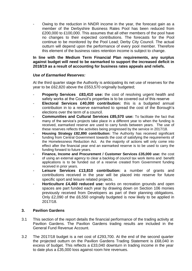Owing to the reduction in NNDR income in the year, the forecast gain as a member of the Derbyshire Business Rates Pool has been reduced from £200,000 to £100,000. This assumes that all other members of the pool have no changes to their expected contributions. The forecasts for the Pool continue to be monitored by the Pool Lead; Derby City Council. The actual outturn will depend upon the performance of every pool member. Therefore this element of the business rates retention income is subject to change.

#### **In line with the Medium Term Financial Plan requirements, any surplus against budget will need to be earmarked to support the increased deficit in 2018/19 as a result of accounting for business rates appeals and reliefs.**

#### *Use of Earmarked Reserves:*

At the third quarter stage the Authority is anticipating its net use of reserves for the year to be £62,820 above the £553,570 originally budgeted;

- **Property Services £83,410 use:** the cost of resolving urgent health and safety works at the Council's properties is to be covered out of this reserve
- **Electoral Services £40,000 contribution:** this is a budgeted annual contribution in to a reserve earmarked to spread the cost of the Borough's elections over the term of a council.
- **Communities and Cultural Services £85,570 use:** To facilitate the fact that many of the service's projects take place in a different year to when the funding is received, earmarked reserve are used to carry funds between years. The use of these reserves reflects the activities being progressed by the service in 2017/18.
- **Housing Strategy £82,890 contribution:** The Authority has received significant funding from Central Government towards the cost of satisfying the requirements of the Homelessness Reduction Act. As the majority of actions will only come into effect after the financial year end an earmarked reserve is to be used to carry the funding forward to future years.
- **Finance, Income and Procurement / Customer Services £35,000 use:** the cost of using an external agency to clear a backlog of council tax work items and benefit applications is to be funded out of a reserve created from Government funding received in prior years.
- Leisure Services £13,810 contribution: a number of grants and contributions received in the year will be placed into reserve for future specific sport and leisure related projects.
- **Horticulture £4,460 reduced use:** works on recreation grounds and open spaces are part funded each year by drawing down on Section 106 monies previously received from Developers as part of their planning obligations. Only £2,090 of the £6,550 originally budgeted is now likely to be applied in 2017/18.

#### **3. Pavilion Gardens**

- 3.1 This section of the report details the financial performance of the trading activity at Pavilion Gardens. The Pavilion Gardens trading results are included in the General Fund Revenue Account.
- 3.2 The 2017/18 budget is a net cost of £293,700. At the end of the second quarter the projected outturn on the Pavilion Gardens Trading Statement is £68,040 in excess of budget. This reflects a £33,040 downturn in trading income in the year to date plus a £35,000 loss against room hire revenues.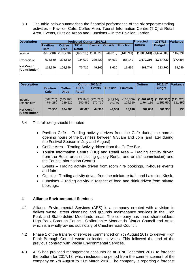3.3 The table below summarises the financial performance of the six separate trading activities – Pavilion Café, Coffee Area, Tourist Information Centre (TIC) & Retail Area, Events, Outside Areas and Functions – in the Pavilion Garden

| <b>Description</b><br><b>Projected Outturn 2017/18</b> |                  |                       |                 |               |                |                 | Projected      | Variancel                   |           |
|--------------------------------------------------------|------------------|-----------------------|-----------------|---------------|----------------|-----------------|----------------|-----------------------------|-----------|
|                                                        | Pavilion<br>Café | <b>Coffee</b><br>Area | TIC &<br>Retail | <b>Events</b> | <b>Outside</b> | <b>Function</b> | <b>Outturn</b> | <b>Budget</b>               |           |
| Income                                                 | (563, 210)       | (199,270)             | (163, 290)      | (190, 020)    | (46,010)       | (146, 710)      |                | $(1,308,510)$ $(1,454,030)$ | 145.520   |
| Expenditure                                            | 678,550          | 305.610               | 234.000         | 239.320       | 54,630         | 158.140         | 1,670,250      | 1.747.730                   | (77, 480) |
| Net Cost /<br>(Contribution)                           | 115,340          | 106.340               | 70.710          | 49,300        | 8,620          | 11,430          | 361,740        | 293.700                     | 68,040    |

| <b>Description</b>                  |                                                                                                                           |                       |               | <b>Outturn 2016/17</b>            | 2016/17             | Variance              |           |                                                      |         |
|-------------------------------------|---------------------------------------------------------------------------------------------------------------------------|-----------------------|---------------|-----------------------------------|---------------------|-----------------------|-----------|------------------------------------------------------|---------|
|                                     | <b>Outside</b><br><b>Function</b><br>Pavilion<br><b>Coffee</b><br>TIC &<br><b>Events</b><br><b>Retail</b><br>Café<br>Area |                       | <b>Budget</b> |                                   |                     |                       |           |                                                      |         |
| Income<br>Expenditure               | (667, 730)<br>744.280                                                                                                     | (185, 260)<br>289.620 | 240,460       | $(172, 840)$ (225,720)<br>270.710 | (44, 820)<br>94.770 | (105, 700)<br>124.310 | 1.764.150 | $(1,402,070)$ $(1,290,550)$ $(111,520)$<br>1.652.500 | 111.650 |
| <b>Net Cost /</b><br>(Contribution) | 76.550                                                                                                                    | 104.360               | 67,620        | 44.990                            | 49,950              | 18.610                | 362.080   | 361.950                                              | 130     |

3.4 The following should be noted:

- Pavilion Café Trading activity derives from the Café during the normal opening hours of the business between 9.30am and 5pm (and later during the Festival Season in July and August)
- Coffee Area Trading Activity driven from the Coffee Bar.
- Tourist Information Centre (TIC) and Retail Area Trading activity driven from the Retail area (including gallery Rental and artists' commission) and the Tourist Information Centre)
- Events Trading activity driven from room hire bookings, in-house events and fairs
- Outside Trading activity driven from the miniature train and Lakeside Kiosk.
- Functions –Trading activity in respect of food and drink driven from private bookings.

## **4 Alliance Environmental Services**

- 4.1 Alliance Environmental Services (AES) is a company created with a vision to deliver waste, street cleansing and grounds maintenance services in the High Peak and Staffordshire Moorlands areas. The company has three shareholders: High Peak Borough Council, Staffordshire Moorlands District Council and Ansa, which is a wholly owned subsidiary of Cheshire East Council.
- 4.2 Phase 1 of the transfer of services commenced on 7th August 2017 to deliver High Peak Borough Council waste collection services. This followed the end of the previous contract with Veolia Environmental Services.
- 4.3 AES has provided management accounts as at 31st December 2017 to forecast the outturn for 2017/18, which includes the period from the commencement of the company on 7th August to 31st March 2018. The company is reporting a forecast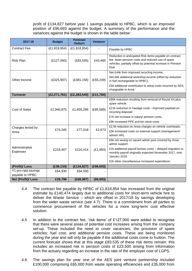profit of £134,827 before year 1 savings payable to HPBC, which is an improved position of £96,693 against the budget. A summary of the performance and the variances against the budget is shown in the table below:

| 2017-18                           | <b>Budget</b>  | <b>Forecast</b><br><b>Outturn</b> | <b>Variance</b> |                                                                                                                                                                                            |
|-----------------------------------|----------------|-----------------------------------|-----------------|--------------------------------------------------------------------------------------------------------------------------------------------------------------------------------------------|
| <b>Contract Fee</b>               | (E1, 818, 854) | (E1, 818, 854)                    |                 | Payable by HPBC                                                                                                                                                                            |
| <b>Risk Plan</b>                  | (E127,000)     | (E83, 535)                        | £43,465         | Reduction in anticipated Risk Items payable on contract<br>fee: lower pension costs and reduced use of spare<br>vehicles; partially offset by potential increase in Pension<br><b>Risk</b> |
|                                   |                |                                   |                 | Net £44k from improved recycling income;                                                                                                                                                   |
| Other Income                      | (E325,907)     | (E381, 156)                       | (E55, 249)      | Net £6k additional workshop income (offset by reduction<br>in fuel rechargeable to HPBC);                                                                                                  |
|                                   |                |                                   |                 | £5k additional contribution to setup costs incurred by AES,<br>chargeable to Ansa.                                                                                                         |
| <b>Turnover</b>                   | (E2, 271, 761) | (E2, 283, 545)                    | (E11, 784)      |                                                                                                                                                                                            |
|                                   |                |                                   |                 | £80k reduction resulting from removal of Round K4 plus<br>spare vehicle.                                                                                                                   |
| <b>Cost of Sales</b>              | £1,940,875     | £1,855,286                        | (E85,589)       | £21k reduction in haulage costs - improved payload on<br>recycling disposal;                                                                                                               |
|                                   |                |                                   |                 | £7k net increase in salary/ pension costs;                                                                                                                                                 |
|                                   |                |                                   |                 | £9k increased PPE and bin stock costs                                                                                                                                                      |
| Charges levied by                 |                |                                   |                 | £2.5k reduction on Ansa charges on vehicle overheads;                                                                                                                                      |
| Ansa                              | £74,345        | £77,018                           | £2,673          | £5k increased costs on external support (management/<br>admin/HR).                                                                                                                         |
|                                   |                |                                   |                 | £6k net saving on vacant admin post covered by Ansa<br>admin support;                                                                                                                      |
| Administrative<br><b>Expenses</b> | £218,407       | £216,414                          | (E1,993)        | £2k additional payroll bureau costs - delayed migration to<br>monthly payroll originally expected November 2017, now<br>January 2018;                                                      |
|                                   |                |                                   |                 | £2k other miscellaneous increased expenditure.                                                                                                                                             |
| (Profit)/ Loss                    | (E38, 134)     | (E134, 827)                       | (E96, 693)      |                                                                                                                                                                                            |
| Y1 pro-rata savings               | £64,930        | £64,930                           |                 |                                                                                                                                                                                            |
| payable to HPBC                   |                |                                   |                 |                                                                                                                                                                                            |
| <b>Net (Profit)/Loss</b>          | £26,796        | (E68, 987)                        | (96, 693)       |                                                                                                                                                                                            |

- 4.4 The contract fee payable by HPBC of £1,818,854 has increased from the original estimate by £140,474 largely due to additional costs for short-term vehicle hire to deliver the Waste Service – which are offset in 2017/18 by savings developing from the wider waste service (see 4.7). There is a commitment from all parties to commence procurement of the vehicles for a more long-term cost effective solution.
- 4.5 In addition to the contract fee, 'risk items' of £127,000 were added to recognise that there were several areas of potential cost increases arising from the company set-up. These included the need to cover vacancies; the provision of spare vehicles; fuel cost; and additional pension costs. These are being monitored during the year and will only be payable if the additional costs come to fruition. The current forecast shows that at this stage £83,535 of these risk items remain: this includes an increased risk in pension costs of £23,500 arising from information from the actuary regarding an increase in the rate of the employer cost of LGPS.
- 4.6 The savings plan for year one of the AES joint venture partnership included £100,000 comprising £65,000 from waste operating efficiencies and £35,000 from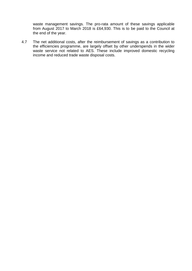waste management savings. The pro-rata amount of these savings applicable from August 2017 to March 2018 is £64,930. This is to be paid to the Council at the end of the year.

4.7 The net additional costs, after the reimbursement of savings as a contribution to the efficiencies programme, are largely offset by other underspends in the wider waste service not related to AES. These include improved domestic recycling income and reduced trade waste disposal costs.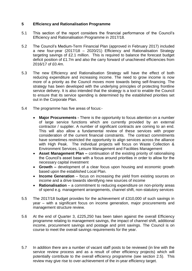## **5 Efficiency and Rationalisation Programme**

- 5.1 This section of the report considers the financial performance of the Council's Efficiency and Rationalisation Programme in 2017/18.
- 5.2 The Council's Medium-Term Financial Plan (approved in February 2017) included a new four-year (2017/18 – 2020/21) Efficiency and Rationalisation Strategy targeting savings of £2.1 million. This is required to balance the forecast budget deficit position of £1.7m and also the carry forward of unachieved efficiencies from 2016/17 of £0.4m.
- 5.3 The new Efficiency and Rationalisation Strategy will have the effect of both reducing expenditure and increasing income. The need to grow income is now more of a priority as the Council moves more towards being self-financing. The strategy has been developed with the underlying principles of protecting frontline service delivery. It is also intended that the strategy is a tool to enable the Council to ensure that its service spending is determined by the established priorities set out in the Corporate Plan.
- 5.4 The programme has five areas of focus:-
	- **Major Procurements -** There is the opportunity to focus attention on a number of large service functions which are currently provided by an external contractor / supplier. A number of significant contracts are coming to an end. This will also allow a fundamental review of these services with proper consideration of the current financial constraints. The contract commitments have sometimes restricted the opportunity to align services across the alliance with High Peak. The individual projects will focus on Waste Collection & Environment Services, Leisure Management and Facilities Management
	- **Asset Management Plan –** continuation of the existing priority of rationalising the Council's asset base with a focus around priorities in order to allow for the necessary capital investment
	- **Growth –** development of a clear focus upon housing and economic growth based upon the established Local Plan.
	- **Income Generation** focus on increasing the yield from existing sources on income and a drive towards identifying new sources of income
	- **Rationalisation**  a commitment to reducing expenditure on non-priority areas of spend e.g. management arrangements, channel shift, non-statutory services
- 5.5 The 2017/18 budget provides for the achievement of £310,000 of such savings in year – with a significant focus on income generation, major procurements and management structure review.
- 5.6 At the end of Quarter 3, £225,250 has been taken against the overall Efficiency programme relating to management savings, the impact of channel shift, additional income, procurement savings and postage and print savings. The Council is on course to meet the overall savings requirements for the year.
- 5.7 In addition there are a number of vacant staff posts to be reviewed (in line with the service review process and as a result of other efficiency projects) which will potentially contribute to the overall efficiency programme (see section 2.5). This review may give rise to over-achievement of the in-year efficiency target.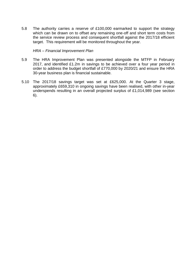5.8 The authority carries a reserve of £100,000 earmarked to support the strategy which can be drawn on to offset any remaining one-off and short term costs from the service review process and consequent shortfall against the 2017/18 efficient target. This requirement will be monitored throughout the year.

*HRA – Financial Improvement Plan*

- 5.9 The HRA Improvement Plan was presented alongside the MTFP in February 2017, and identified £1.2m in savings to be achieved over a four year period in order to address the budget shortfall of £770,000 by 2020/21 and ensure the HRA 30-year business plan is financial sustainable.
- 5.10 The 2017/18 savings target was set at £625,000. At the Quarter 3 stage, approximately £659,310 in ongoing savings have been realised, with other in-year underspends resulting in an overall projected surplus of £1,014,989 (see section 6).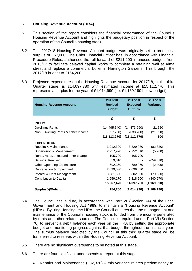## **6 Housing Revenue Account (HRA)**

- 6.1 This section of the report considers the financial performance of the Council's Housing Revenue Account and highlights the budgetary position in respect of the operation of the Council's housing stock.
- 6.2 The 2017/18 Housing Revenue Account budget was originally set to produce a surplus of £57,000. The Chief Financial Officer has, in accordance with Financial Procedure Rules, authorised the roll forward of £211,200 in unused budgets from 2016/17 to facilitate delayed capital works to complete a retaining wall at Alma street and replace a commercial boiler in Hartington Gardens. This brought the 2017/18 budget to £154,200.
- 6.3 Projected expenditure on the Housing Revenue Account for 2017/18, at the third Quarter stage, is £14,097,780 with estimated income at £15,112,770. This represents a surplus for the year of £1,014,990 (i.e. £1,169,190 below budget).

| <b>Housing Revenue Account</b>        | 2017-18<br><b>Revised</b><br><b>Budget</b> | 2017-18<br><b>Expected</b><br><b>Outturn</b> | 2017-18<br><b>Variance</b> |
|---------------------------------------|--------------------------------------------|----------------------------------------------|----------------------------|
|                                       | £                                          | £                                            | £                          |
| <b>INCOME</b>                         |                                            |                                              |                            |
| <b>Dwellings Rents</b>                | (14, 495, 540)                             | (14, 473, 990)                               | 21,550                     |
| Non - Dwelling Rents & Other Income   | (617, 730)                                 | (638, 780)                                   | (21,050)                   |
|                                       | (15, 113, 270)                             | (15, 112, 770)                               | 500                        |
| <b>EXPENDITURE</b>                    |                                            |                                              |                            |
| Repairs & Maintenance                 | 3,912,300                                  | 3,829,980                                    | (82, 320)                  |
| Supervision & Management              | 2,757,970                                  | 2,752,010                                    | (5,960)                    |
| Rents, rates, taxes and other charges | 105,700                                    | 105,700                                      |                            |
| Savings Realised                      | 659,310                                    |                                              | (659, 310)                 |
| <b>Other Operating Expenditure</b>    | 692,360                                    | 689,960                                      | (2,400)                    |
| Depreciation & Impairment             | 2,099,030                                  | 2,099,030                                    |                            |
| Interest & Debt Management            | 3,381,630                                  | 3,302,600                                    | (79,030)                   |
| <b>Contribution to Capital</b>        | 1,659,170                                  | 1,318,500                                    | (340, 670)                 |
|                                       | 15,267,470                                 | 14,097,780                                   | (1, 169, 690)              |
| <b>Surplus(-)/Deficit</b>             | 154,200                                    | (1,014,990)                                  | (1, 169, 190)              |

- 6.4 The Council has a duty, in accordance with Part VI (Section 74) of the Local Government and Housing Act 1989, to maintain a "Housing Revenue Account" (HRA). By "ring -fencing' the HRA, the Council ensures that the management and maintenance of the Council's housing stock is funded from the income generated by rents and other related sources. The Council is required under Part VI (Section 76) to prevent a debit balance each year on the HRA by setting the appropriate budget and monitoring progress against that budget throughout the financial year. The surplus balance predicted by the Council at this third quarter stage will be transferred to reserves within the Housing Revenue Account.
- 6.5 There are no significant overspends to be noted at this stage.
- 6.6 There are four significant underspends to report at this stage.
	- Repairs and Maintenance (£82,320) this variance relates predominantly to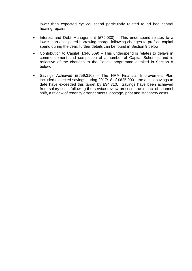lower than expected cyclical spend particularly related to ad hoc central heating repairs.

- Interest and Debt Management  $(E79,030)$  This underspend relates to a lower than anticipated borrowing charge following changes to profiled capital spend during the year; further details can be found in Section 9 below.
- Contribution to Capital (£340,669) This underspend is relates to delays in commencement and completion of a number of Capital Schemes and is reflective of the changes to the Capital programme detailed in Section 8 below.
- Savings Achieved (£659,310) The HRA Financial Improvement Plan included expected savings during 2017/18 of £625,000 - the actual savings to date have exceeded this target by £34,310. Savings have been achieved from salary costs following the service review process, the impact of channel shift, a review of tenancy arrangements, postage, print and stationery costs.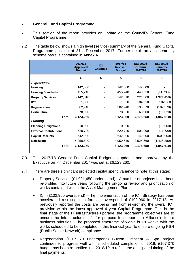## **7 General Fund Capital Programme**

- 7.1 This section of the report provides an update on the Council's General Fund Capital Programme.
- 7.2 The table below shows a high level (service) summary of the General Fund Capital Programme position at 31st December 2017. Further detail on a scheme by scheme basis is contained in Annex A.

|                               | 2017/18<br><b>Approved</b><br><b>Budget</b> | Q3<br><b>Changes</b> | 2017/18<br><b>Revised</b><br><b>Budget</b> | <b>Expected</b><br><b>Outturn</b><br>2017/18 | <b>Expected</b><br><b>Variance</b><br>2017/18 |
|-------------------------------|---------------------------------------------|----------------------|--------------------------------------------|----------------------------------------------|-----------------------------------------------|
|                               | £                                           | £                    | £                                          | £                                            | £                                             |
| <b>Expenditure</b>            |                                             |                      |                                            |                                              |                                               |
| <b>Housing</b>                | 142,000                                     |                      | 142,000                                    | 142,000                                      |                                               |
| <b>Housing Standards</b>      | 455,240                                     |                      | 455,240                                    | 443,510                                      | (11, 730)                                     |
| <b>Property Services</b>      | 5,142,810                                   |                      | 5,142,810                                  | 3,221,360                                    | (1,921,450)                                   |
| <b>ICT</b>                    | 1,350                                       |                      | 1,350                                      | 104,310                                      | 102,960                                       |
| <b>Regeneration</b>           | 302,940                                     |                      | 302,940                                    | 195,570                                      | (107, 370)                                    |
| <b>Horticulture</b>           | 78,920                                      |                      | 78,920                                     | 68,900                                       | (10,020)                                      |
| <b>Total</b>                  | 6,123,260                                   |                      | 6,123,260                                  | 4,175,650                                    | (1,947,610)                                   |
| <b>Funding</b>                |                                             |                      |                                            |                                              |                                               |
| <b>Planning Obligations</b>   | 10,000                                      |                      | 10,000                                     |                                              | (10,000)                                      |
| <b>External Contributions</b> | 520,720                                     |                      | 520,720                                    | 508,990                                      | (11, 730)                                     |
| <b>Capital Receipts</b>       | 642,000                                     |                      | 642,000                                    | 142,000                                      | (500,000)                                     |
| <b>Borrowing</b>              | 4,950,540                                   |                      | 4,950,540                                  | 3,524,660                                    | (1,425,880)                                   |
| Total                         | 6,123,260                                   |                      | 6,123,260                                  | 4,175,650                                    | (1,947,610)                                   |

- 7.3 The 2017/18 General Fund Capital Budget as updated and approved by the Executive on 7th December 2017 was set at £6,123,260.
- 7.4 There are three significant projected capital spend variance to note at this stage:
	- Property Services (£1,921,450 underspend) A number of projects have been re-profiled into future years following the on-going review and prioritisation of works contained within the Asset Management Plan
	- ICT (£102,960 overspend) –The implementation of the ICT Strategy has been accelerated resulting in a forecast overspend of £102,960 in 2017-18. As previously reported the costs are being met from re-profiling the overall ICT provision within the latest approved 4 year Capital Programme. This is the final stage of the IT infrastructure upgrade; the programme objectives are to ensure the infrastructure is fit for purpose to support the Alliance's future business priorities. The proposed timeframe of works is 18 weeks with the works scheduled to be completed in this financial year to ensure ongoing PSN (Public Sector Network) compliance
	- Regeneration (£107,370 underspend) Buxton Crescent & Spa project continues to progress well with a scheduled completion of 2019; £107,370 budget has been re-profiled into 2018/19 to reflect the anticipated timing of the final payments.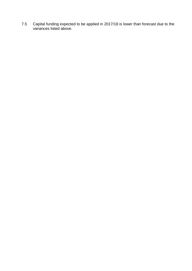7.5 Capital funding expected to be applied in 2017/18 is lower than forecast due to the variances listed above.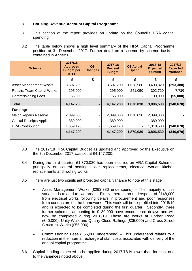## **8 Housing Revenue Account Capital Programme**

- 8.1 This section of the report provides an update on the Council's HRA capital spending.
- 8.2 The table below shows a high level summary of the HRA Capital Programme position at 31 December 2017. Further detail on a scheme by scheme basis is contained in Annex B.

| <b>Scheme</b>                     | 2017/18<br><b>Approved</b><br><b>Budget per</b><br><b>MTFP</b> | Q <sub>3</sub><br><b>Changes</b> | 2017-18<br><b>Revised</b><br><b>Budget</b> | Q3 Actual<br><b>Spend</b> | 2017-18<br><b>Expected</b><br><b>Outturn</b> | 2017/18<br><b>Expected</b><br><b>Variance</b> |
|-----------------------------------|----------------------------------------------------------------|----------------------------------|--------------------------------------------|---------------------------|----------------------------------------------|-----------------------------------------------|
|                                   | £                                                              | £                                | £                                          | £                         | £                                            | £                                             |
| <b>Asset Management Works</b>     | 3,697,200                                                      |                                  | 3,697,200                                  | 1,628,980                 | 3,403,820                                    | (293, 380)                                    |
| <b>Repairs Team Capital Works</b> | 295,000                                                        |                                  | 295,000                                    | 241,050                   | 302,710                                      | 7,710                                         |
| <b>Commissioning Fees</b>         | 155,000                                                        |                                  | 155,000                                    | $\overline{\phantom{a}}$  | 100,000                                      | (55,000)                                      |
| Total                             | 4,147,200                                                      | ۰.                               | 4,147,200                                  | 1,870,030                 | 3,806,530                                    | (340, 670)                                    |
| <b>Funding:</b>                   |                                                                |                                  |                                            |                           |                                              |                                               |
| <b>Major Repairs Reserve</b>      | 2,099,030                                                      |                                  | 2,099,030                                  | 1,870,030                 | 2,099,030                                    |                                               |
| <b>Capital Receipts Applied</b>   | 389,000                                                        |                                  | 389,000                                    | ۰.                        | 389,000                                      |                                               |
| <b>HRA Contribution</b>           | 1,659,170                                                      |                                  | 1,659,170                                  | $\blacksquare$            | 1,318,500                                    | (340, 670)                                    |
|                                   | 4,147,200                                                      | ۰.                               | 4,147,200                                  | 1,870,030                 | 3,806,530                                    | (340, 670)                                    |

- 8.3 The 2017/18 HRA Capital Budget as updated and approved by the Executive on the 7th December 2017 was set at £4,147,200.
- 8.4 During the third quarter, £1,870,030 has been incurred on HRA Capital Schemes principally on central heating boiler replacements, electrical works, kitchen replacements and roofing works.
- 8.5 There are just two significant projected capital variance to note at this stage

.

- Asset Management Works (£293,380 underspend) The majority of this variance is related to two areas. Firstly, there is an underspend of £148,000 from electrical works following delays in procurement and poor responses from contractors on the framework. This work will be re-profiled into 2018/19 and is expected to be completed during the first quarter. Secondly, three further schemes amounting to £130,000 have encountered delays and will now be completed during 2018/19. These are works at Corbar Road (£40,000); Unity Walk and Quarry Close Railings (£35,000) and Cross Street Structural Works (£55,000)
- Commissioning Fees (£55,000 underspend) This underspend relates to a reduction in the internal recharge of staff costs associated with delivery of the annual capital programme
- 8.6 Capital funding expected to be applied during 2017/18 is lower than forecast due to the variances noted above.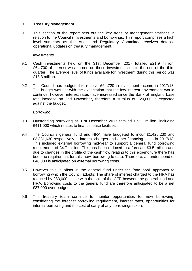#### **9 Treasury Management**

9.1 This section of the report sets out the key treasury management statistics in relation to the Council's investments and borrowings. This report comprises a high level summary as the Audit and Regulatory Committee receives detailed operational updates on treasury management.

#### *Investments*

- 9.1 Cash investments held on the 31st December 2017 totalled £21.9 million. £64,700 of interest was earned on these investments up to the end of the third quarter. The average level of funds available for investment during this period was £18.3 million.
- 9.2 The Council has budgeted to receive £64,720 in investment income in 2017/18. The budget was set with the expectation that the low interest environment would continue, however interest rates have increased since the Bank of England base rate increase on 2nd November, therefore a surplus of £20,000 is expected against the budget.

#### *Borrowing*

- 9.3 Outstanding borrowing at 31st December 2017 totalled £72.2 million, including £411,000 which relates to finance lease facilities.
- 9.4 The Council's general fund and HRA have budgeted to incur £1,425,230 and £3,381,630 respectively in interest charges and other financing costs in 2017/18. This included external borrowing mid-year to support a general fund borrowing requirement of £4.7 million. This has been reduced to a forecast £3.5 million and due to changes in the profile of the cash flow relating to this expenditure there has been no requirement for this 'new' borrowing to date. Therefore, an underspend of £46,000 is anticipated on external borrowing costs.
- 9.5 However this is offset in the general fund under the 'one pool' approach to borrowing which the Council adopts. The share of interest charged to the HRA has reduced by £83,000 in line with the split of the CFR between the general fund and HRA. Borrowing costs to the general fund are therefore anticipated to be a net £37,000 over budget.
- 9.6 The treasury team continue to monitor opportunities for new borrowing, considering the forecast borrowing requirement, interest rates, opportunities for internal borrowing and the cost of carry of any borrowings taken.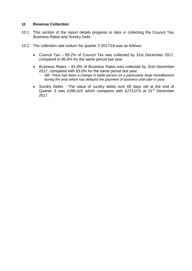#### **10 Revenue Collection**

- 10.1 This section of the report details progress to date in collecting the Council Tax, Business Rates and Sundry Debt.
- 10.2 The collection rate outturn for quarter 3 2017/18 was as follows:
	- Council Tax 85.2% of Council Tax was collected by 31st December 2017, compared to 85.6% for the same period last year.
	- Business Rates 81.9% of Business Rates was collected by 31st December 2017, compared with 83.0% for the same period last year.
		- *NB: There has been a change in liable person on a particularly large hereditament during the year which has delayed the payment of business until later in year*
	- Sundry Debts The value of sundry debts over 60 days old at the end of Quarter 3 was £266,422 which compares with £273,073 at 31<sup>st</sup> December 2017.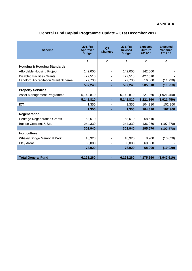# **ANNEX A**

# **General Fund Capital Programme Update – 31st December 2017**

| <b>Scheme</b>                              | 2017/18<br><b>Approved</b><br><b>Budget</b> | Q <sub>3</sub><br><b>Changes</b> | 2017/18<br><b>Revised</b><br><b>Budget</b> | <b>Expected</b><br><b>Outturn</b><br>2017/18 | <b>Expected</b><br><b>Variance</b><br>2017/18 |
|--------------------------------------------|---------------------------------------------|----------------------------------|--------------------------------------------|----------------------------------------------|-----------------------------------------------|
|                                            | £                                           | £                                | £                                          | £                                            | £                                             |
| <b>Housing &amp; Housing Standards</b>     |                                             |                                  |                                            |                                              |                                               |
| Affordable Housing Project                 | 142,000                                     |                                  | 142,000                                    | 142,000                                      |                                               |
| <b>Disabled Facilities Grants</b>          | 427,510                                     |                                  | 427,510                                    | 427,510                                      |                                               |
| <b>Landlord Accreditation Grant Scheme</b> | 27,730                                      |                                  | 27,730                                     | 16,000                                       | (11, 730)                                     |
|                                            | 597,240                                     |                                  | 597,240                                    | 585,510                                      | (11, 730)                                     |
| <b>Property Services</b>                   |                                             |                                  |                                            |                                              |                                               |
| Asset Management Programme                 | 5,142,810                                   |                                  | 5,142,810                                  | 3,221,360                                    | (1,921,450)                                   |
|                                            | 5,142,810                                   |                                  | 5,142,810                                  | 3,221,360                                    | (1,921,450)                                   |
| <b>ICT</b>                                 | 1,350                                       |                                  | 1,350                                      | 104,310                                      | 102,960                                       |
|                                            | 1,350                                       |                                  | 1,350                                      | 104,310                                      | 102,960                                       |
| Regeneration                               |                                             |                                  |                                            |                                              |                                               |
| <b>Heritage Regeneration Grants</b>        | 58,610                                      |                                  | 58,610                                     | 58,610                                       |                                               |
| <b>Buxton Crescent &amp; Spa</b>           | 244,330                                     |                                  | 244,330                                    | 136,960                                      | (107, 370)                                    |
|                                            | 302,940                                     |                                  | 302,940                                    | 195,570                                      | (107, 370)                                    |
| <b>Horticulture</b>                        |                                             |                                  |                                            |                                              |                                               |
| <b>Whaley Bridge Memorial Park</b>         | 18,920                                      |                                  | 18,920                                     | 8,900                                        | (10,020)                                      |
| Play Areas                                 | 60,000                                      |                                  | 60,000                                     | 60,000                                       |                                               |
|                                            | 78,920                                      |                                  | 78,920                                     | 68,900                                       | (10, 020)                                     |
|                                            |                                             |                                  |                                            |                                              |                                               |
| <b>Total General Fund</b>                  | 6,123,260                                   |                                  | 6,123,260                                  | 4,175,650                                    | (1,947,610)                                   |